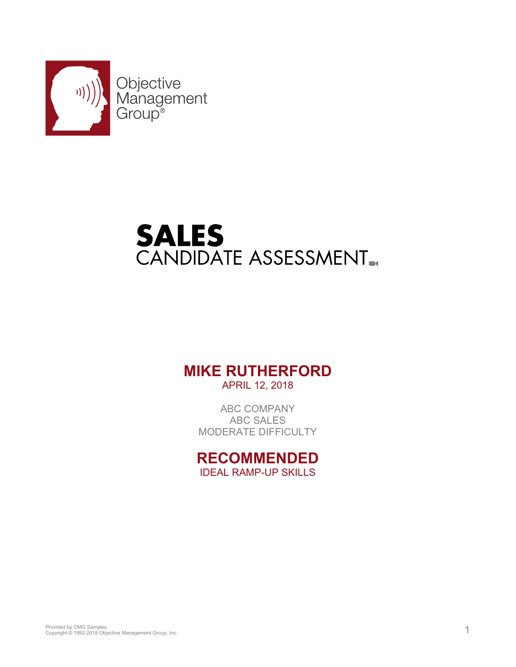

# **SALES**<br>CANDIDATE ASSESSMENT.

### **MIKE RUTHERFORD**

APRIL 12, 2018

ABC COMPANY ABC SALES MODERATE DIFFICULTY

**RECOMMENDED** IDEAL RAMP-UP SKILLS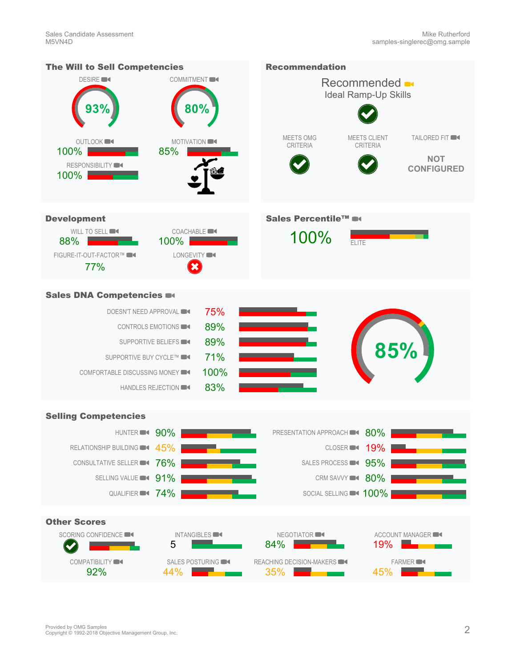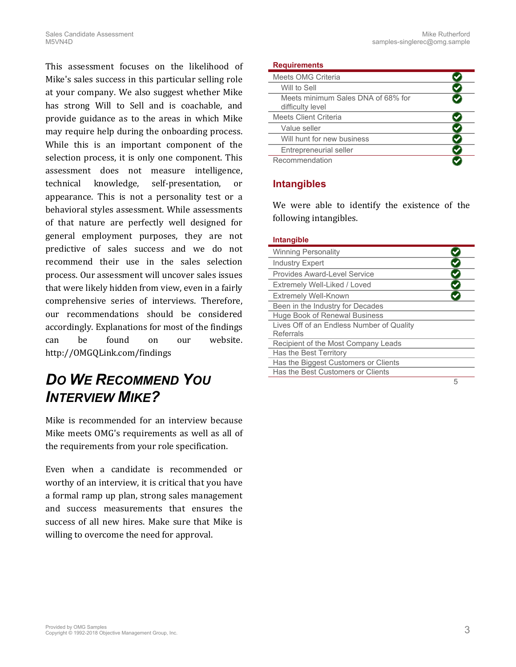This assessment focuses on the likelihood of Mike's sales success in this particular selling role at your company. We also suggest whether Mike has strong Will to Sell and is coachable, and provide guidance as to the areas in which Mike may require help during the onboarding process. While this is an important component of the selection process, it is only one component. This assessment does not measure intelligence, technical knowledge, self-presentation, or appearance. This is not a personality test or a behavioral styles assessment. While assessments of that nature are perfectly well designed for general employment purposes, they are not predictive of sales success and we do not recommend their use in the sales selection process. Our assessment will uncover sales issues that were likely hidden from view, even in a fairly comprehensive series of interviews. Therefore, our recommendations should be considered accordingly. Explanations for most of the findings can be found on our website. [http://OMGQLink.com/findings](http://omgqlink.com/findings)

### *DO WE RECOMMEND YOU INTERVIEW MIKE?*

Mike is recommended for an interview because Mike meets OMG's requirements as well as all of the requirements from your role specification.

Even when a candidate is recommended or worthy of an interview, it is critical that you have a formal ramp up plan, strong sales management and success measurements that ensures the success of all new hires. Make sure that Mike is willing to overcome the need for approval.

**Requirements**

| Meets OMG Criteria                                     |  |
|--------------------------------------------------------|--|
| Will to Sell                                           |  |
| Meets minimum Sales DNA of 68% for<br>difficulty level |  |
| Meets Client Criteria                                  |  |
| Value seller                                           |  |
| Will hunt for new business                             |  |
| Entrepreneurial seller                                 |  |
| Recommendation                                         |  |

#### **Intangibles**

We were able to identify the existence of the following intangibles.

#### <span id="page-2-0"></span>**Intangible**

| <b>Winning Personality</b>                |   |
|-------------------------------------------|---|
| <b>Industry Expert</b>                    |   |
| Provides Award-Level Service              |   |
| Extremely Well-Liked / Loved              |   |
| <b>Extremely Well-Known</b>               |   |
| Been in the Industry for Decades          |   |
| Huge Book of Renewal Business             |   |
| Lives Off of an Endless Number of Quality |   |
| Referrals                                 |   |
| Recipient of the Most Company Leads       |   |
| Has the Best Territory                    |   |
| Has the Biggest Customers or Clients      |   |
| Has the Best Customers or Clients         |   |
|                                           | 5 |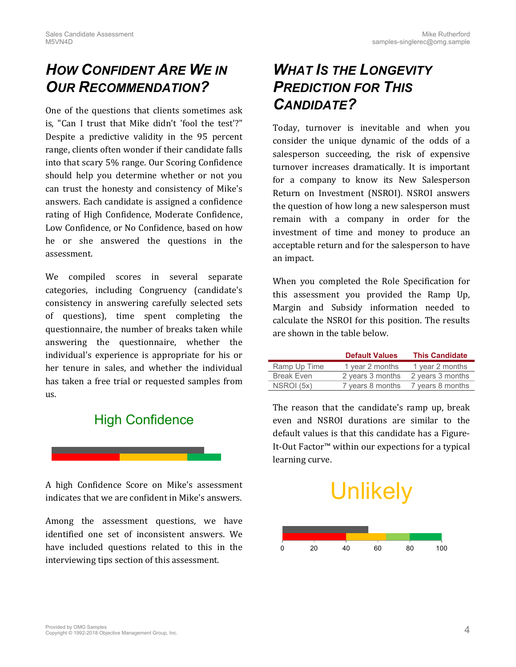### *HOW CONFIDENT ARE WE IN OUR RECOMMENDATION?*

One of the questions that clients sometimes ask is, "Can I trust that Mike didn't 'fool the test'?" Despite a predictive validity in the 95 percent range, clients often wonder if their candidate falls into that scary 5% range. Our Scoring Confidence should help you determine whether or not you can trust the honesty and consistency of Mike's answers. Each candidate is assigned a confidence rating of High Confidence, Moderate Confidence, Low Confidence, or No Confidence, based on how he or she answered the questions in the assessment.

We compiled scores in several separate categories, including Congruency (candidate's consistency in answering carefully selected sets of questions), time spent completing the questionnaire, the number of breaks taken while answering the questionnaire, whether the individual's experience is appropriate for his or her tenure in sales, and whether the individual has taken a free trial or requested samples from us.

### High Confidence



A high Confidence Score on Mike's assessment indicates that we are confident in Mike's answers.

Among the assessment questions, we have identified one set of inconsistent answers. We have included questions related to this in the interviewing tips section of this assessment.

### *WHAT IS THE LONGEVITY PREDICTION FOR THIS CANDIDATE?*

Today, turnover is inevitable and when you consider the unique dynamic of the odds of a salesperson succeeding, the risk of expensive turnover increases dramatically. It is important for a company to know its New Salesperson Return on Investment (NSROI). NSROI answers the question of how long a new salesperson must remain with a company in order for the investment of time and money to produce an acceptable return and for the salesperson to have an impact.

When you completed the Role Specification for this assessment you provided the Ramp Up, Margin and Subsidy information needed to calculate the NSROI for this position. The results are shown in the table below.

|                   | <b>Default Values</b> | <b>This Candidate</b> |
|-------------------|-----------------------|-----------------------|
| Ramp Up Time      | 1 year 2 months       | 1 year 2 months       |
| <b>Break Even</b> | 2 years 3 months      | 2 years 3 months      |
| NSROI (5x)        | 7 years 8 months      | 7 years 8 months      |

The reason that the candidate's ramp up, break even and NSROI durations are similar to the default values is that this candidate has a Figure-It-Out Factor™ within our expections for a typical learning curve.

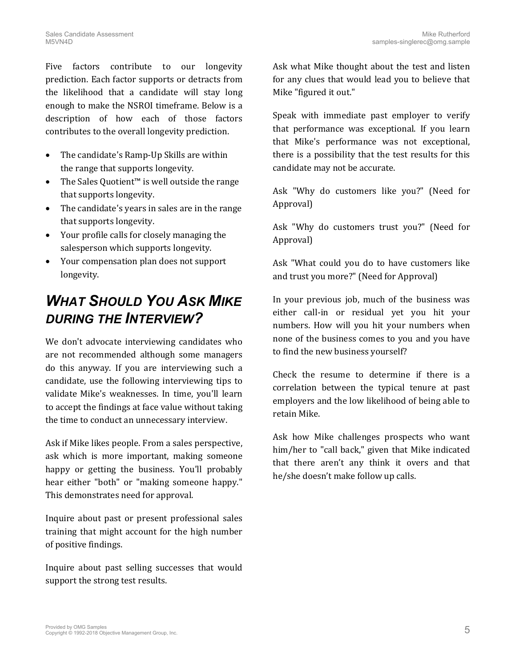Five factors contribute to our longevity prediction. Each factor supports or detracts from the likelihood that a candidate will stay long enough to make the NSROI timeframe. Below is a description of how each of those factors contributes to the overall longevity prediction.

- The candidate's Ramp-Up Skills are within the range that supports longevity.
- The Sales Quotient™ is well outside the range that supports longevity.
- The candidate's years in sales are in the range that supports longevity.
- Your profile calls for closely managing the salesperson which supports longevity.
- Your compensation plan does not support longevity.

### *WHAT SHOULD YOU ASK MIKE DURING THE INTERVIEW?*

We don't advocate interviewing candidates who are not recommended although some managers do this anyway. If you are interviewing such a candidate, use the following interviewing tips to validate Mike's weaknesses. In time, you'll learn to accept the findings at face value without taking the time to conduct an unnecessary interview.

Ask if Mike likes people. From a sales perspective, ask which is more important, making someone happy or getting the business. You'll probably hear either "both" or "making someone happy." This demonstrates need for approval.

Inquire about past or present professional sales training that might account for the high number of positive findings.

Inquire about past selling successes that would support the strong test results.

Ask what Mike thought about the test and listen for any clues that would lead you to believe that Mike "figured it out."

Speak with immediate past employer to verify that performance was exceptional. If you learn that Mike's performance was not exceptional, there is a possibility that the test results for this candidate may not be accurate.

Ask "Why do customers like you?" (Need for Approval)

Ask "Why do customers trust you?" (Need for Approval)

Ask "What could you do to have customers like and trust you more?" (Need for Approval)

In your previous job, much of the business was either call-in or residual yet you hit your numbers. How will you hit your numbers when none of the business comes to you and you have to find the new business yourself?

Check the resume to determine if there is a correlation between the typical tenure at past employers and the low likelihood of being able to retain Mike.

Ask how Mike challenges prospects who want him/her to "call back," given that Mike indicated that there aren't any think it overs and that he/she doesn't make follow up calls.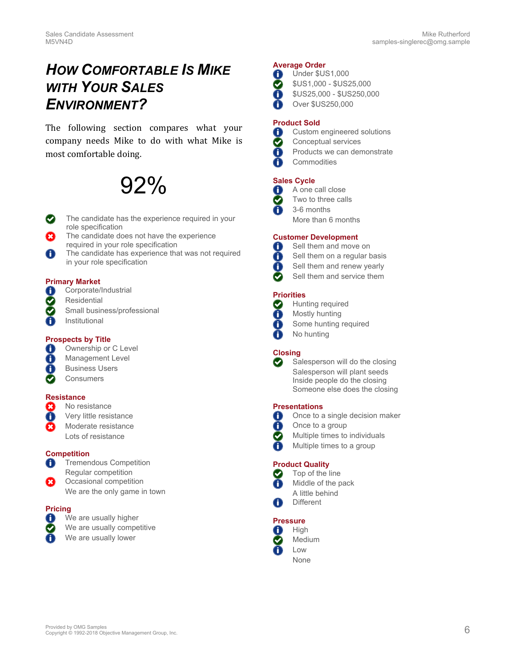### *HOW COMFORTABLE IS MIKE WITH YOUR SALES ENVIRONMENT?*

The following section compares what your company needs Mike to do with what Mike is most comfortable doing.

## 92%

- The candidate has the experience required in your role specification
- The candidate does not have the experience required in your role specification
- $\bigcap$ The candidate has experience that was not required in your role specification

#### **Primary Market**

- 0 Corporate/Industrial
- Ø **Residential**
- $\bigcirc$ Small business/professional
- ∩ Institutional

#### **Prospects by Title**

- Ownership or C Level  $\bf{(i)}$
- $\bigcirc$ Management Level
- 6 Business Users
- $\boldsymbol{\wp}$ **Consumers**

#### **Resistance**

- $\circled{c}$ No resistance
- Ō Very little resistance
- Moderate resistance
- Lots of resistance

#### **Competition**

- Tremendous Competition  $\left( \begin{matrix} \textbf{1} \ \textbf{0} \end{matrix} \right)$ Regular competition
- Occasional competition We are the only game in town

#### **Pricing**

- 0 We are usually higher
- $\bigcirc$ We are usually competitive
	- We are usually lower

#### **Average Order**

- Under \$US1,000 6
- \$US1,000 \$US25,000  $\bigcirc$
- G \$US25,000 - \$US250,000
- Œ Over \$US250,000

#### **Product Sold**

- Custom engineered solutions 6
- $(\bullet)$ Conceptual services
- $\bigcirc$ Products we can demonstrate
- O **Commodities**

#### **Sales Cycle**

- $\bf{(i)}$ A one call close
- $\bigodot$ Two to three calls
- A 3-6 months
	- More than 6 months

#### **Customer Development**

- $\bf{(i)}$ Sell them and move on
- 0 Sell them on a regular basis
- 0 Sell them and renew yearly
- $\odot$ Sell them and service them

#### **Priorities**

- Hunting required  $\bigodot$
- 0 Mostly hunting
- Some hunting required  $\bf (i)$
- No hunting

#### **Closing**

 $\bigodot$ Salesperson will do the closing Salesperson will plant seeds Inside people do the closing Someone else does the closing

#### **Presentations** ∩

- Once to a single decision maker
- $\bf{0}$ Once to a group
- $\boldsymbol{C}$ Multiple times to individuals
	- Multiple times to a group

#### **Product Quality**

- Top of the line Middle of the pack A little behind
- **Different**

#### **Pressure**

- **High** 6 Medium Low
	- None



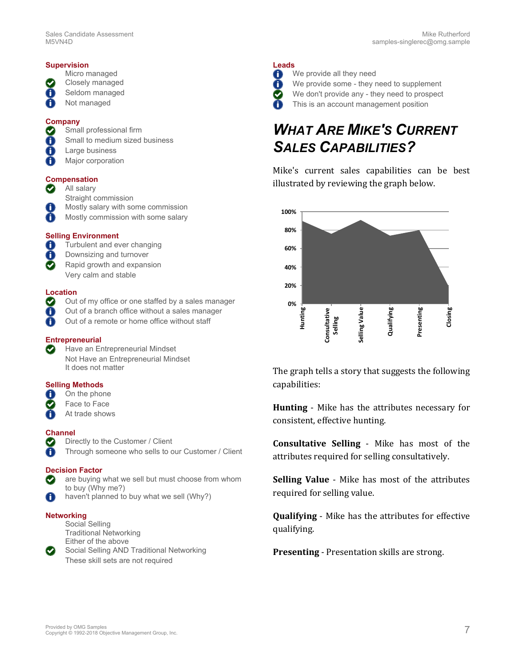#### **Supervision**

- Micro managed
- Closely managed
- 0 Seldom managed
- 0 Not managed

#### **Company**

- Small professional firm  $\blacktriangledown$
- Small to medium sized business 6
- $\bigcirc$ Large business
- Major corporation 6

#### **Compensation**

- $\odot$ All salary
	- Straight commission
- A Mostly salary with some commission
- $\bigcirc$ Mostly commission with some salary

#### **Selling Environment**

- Turbulent and ever changing 6
- 0 Downsizing and turnover
- Rapid growth and expansion  $\boldsymbol{\Omega}$ Very calm and stable

#### **Location**

- $\bm{\odot}$ Out of my office or one staffed by a sales manager
- 6 Out of a branch office without a sales manager
- O Out of a remote or home office without staff

#### **Entrepreneurial**

Have an Entrepreneurial Mindset  $\left(\bigtriangledown\right)$ Not Have an Entrepreneurial Mindset It does not matter

#### **Selling Methods**

- 6 On the phone
- Face to Face  $\bigcirc$
- O At trade shows

#### **Channel**

- Directly to the Customer / Client  $(\blacktriangledown)$ 
	- Through someone who sells to our Customer / Client

#### **Decision Factor**

- are buying what we sell but must choose from whom to buy (Why me?)
- haven't planned to buy what we sell (Why?) 0

#### **Networking**

Social Selling Traditional Networking Either of the above Social Selling AND Traditional Networking These skill sets are not required

#### **Leads**

- We provide all they need 6
- We provide some they need to supplement O)
- $\bigcirc$ We don't provide any - they need to prospect
	- This is an account management position

### *WHAT ARE MIKE'S CURRENT SALES CAPABILITIES?*

Mike's current sales capabilities can be best illustrated by reviewing the graph below.



The graph tells a story that suggests the following capabilities:

**Hunting** - Mike has the attributes necessary for consistent, effective hunting.

**Consultative Selling** - Mike has most of the attributes required for selling consultatively.

**Selling Value** - Mike has most of the attributes required for selling value.

**Qualifying** - Mike has the attributes for effective qualifying.

**Presenting** - Presentation skills are strong.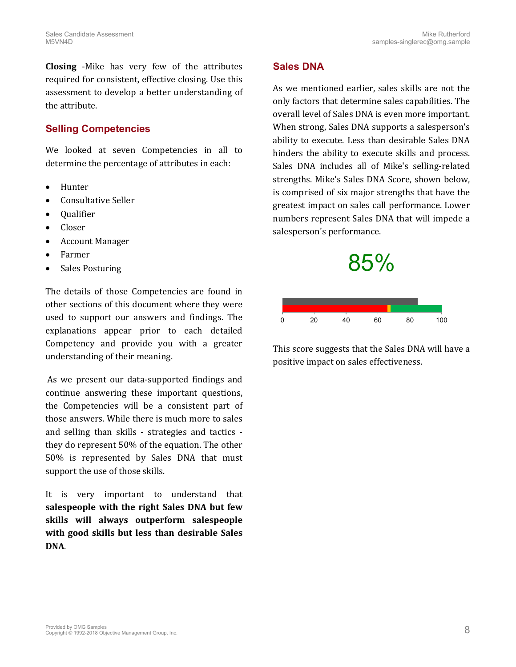**Closing** -Mike has very few of the attributes required for consistent, effective closing. Use this assessment to develop a better understanding of the attribute.

#### **Selling Competencies**

We looked at seven Competencies in all to determine the percentage of attributes in each:

- Hunter
- Consultative Seller
- **Oualifier**
- Closer
- Account Manager
- Farmer
- Sales Posturing

The details of those Competencies are found in other sections of this document where they were used to support our answers and findings. The explanations appear prior to each detailed Competency and provide you with a greater understanding of their meaning.

As we present our data-supported findings and continue answering these important questions, the Competencies will be a consistent part of those answers. While there is much more to sales and selling than skills - strategies and tactics they do represent 50% of the equation. The other 50% is represented by Sales DNA that must support the use of those skills.

It is very important to understand that **salespeople with the right Sales DNA but few skills will always outperform salespeople with good skills but less than desirable Sales DNA**.

#### **Sales DNA**

As we mentioned earlier, sales skills are not the only factors that determine sales capabilities. The overall level of Sales DNA is even more important. When strong, Sales DNA supports a salesperson's ability to execute. Less than desirable Sales DNA hinders the ability to execute skills and process. Sales DNA includes all of Mike's selling-related strengths. Mike's Sales DNA Score, shown below, is comprised of six major strengths that have the greatest impact on sales call performance. Lower numbers represent Sales DNA that will impede a salesperson's performance.





This score suggests that the Sales DNA will have a positive impact on sales effectiveness.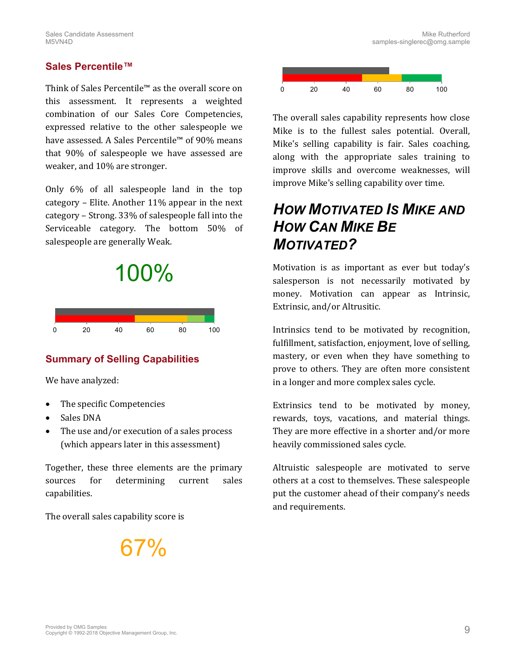#### **Sales Percentile™**

Think of Sales Percentile™ as the overall score on this assessment. It represents a weighted combination of our Sales Core Competencies, expressed relative to the other salespeople we have assessed. A Sales Percentile™ of 90% means that 90% of salespeople we have assessed are weaker, and 10% are stronger.

Only 6% of all salespeople land in the top category – Elite. Another 11% appear in the next category – Strong. 33% of salespeople fall into the Serviceable category. The bottom 50% of salespeople are generally Weak.



#### **Summary of Selling Capabilities**

We have analyzed:

- The specific Competencies
- Sales DNA
- The use and/or execution of a sales process (which appears later in this assessment)

Together, these three elements are the primary sources for determining current sales capabilities.

The overall sales capability score is

**37%** 



The overall sales capability represents how close Mike is to the fullest sales potential. Overall, Mike's selling capability is fair. Sales coaching, along with the appropriate sales training to improve skills and overcome weaknesses, will improve Mike's selling capability over time.

### *HOW MOTIVATED IS MIKE AND HOW CAN MIKE BE MOTIVATED?*

Motivation is as important as ever but today's salesperson is not necessarily motivated by money. Motivation can appear as Intrinsic, Extrinsic, and/or Altrusitic.

Intrinsics tend to be motivated by recognition, fulfillment, satisfaction, enjoyment, love of selling, mastery, or even when they have something to prove to others. They are often more consistent in a longer and more complex sales cycle.

Extrinsics tend to be motivated by money, rewards, toys, vacations, and material things. They are more effective in a shorter and/or more heavily commissioned sales cycle.

Altruistic salespeople are motivated to serve others at a cost to themselves. These salespeople put the customer ahead of their company's needs and requirements.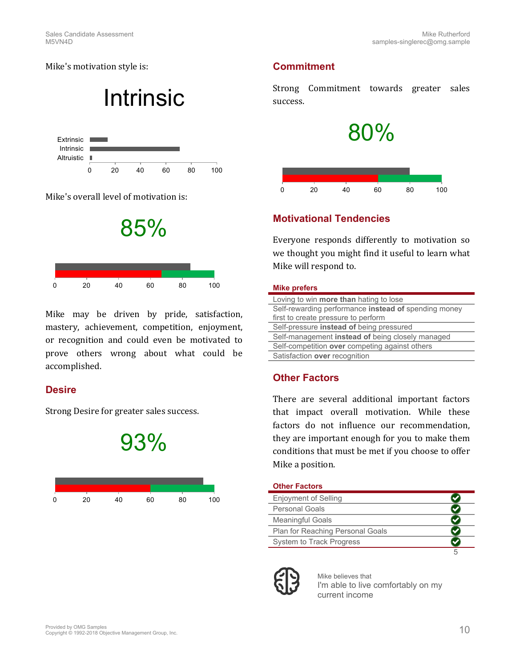Mike's motivation style is:

## Intrinsic



Mike's overall level of motivation is:



Mike may be driven by pride, satisfaction, mastery, achievement, competition, enjoyment, or recognition and could even be motivated to prove others wrong about what could be accomplished.

#### **Desire**

Strong Desire for greater sales success.



### **Commitment**

Strong Commitment towards greater sales success.



### **Motivational Tendencies**

Everyone responds differently to motivation so we thought you might find it useful to learn what Mike will respond to.

#### **Mike prefers**

| Loving to win <b>more than</b> hating to lose        |
|------------------------------------------------------|
| Self-rewarding performance instead of spending money |
| first to create pressure to perform                  |
| Self-pressure instead of being pressured             |
| Self-management instead of being closely managed     |
| Self-competition over competing against others       |
| Satisfaction over recognition                        |

### **Other Factors**

There are several additional important factors that impact overall motivation. While these factors do not influence our recommendation, they are important enough for you to make them conditions that must be met if you choose to offer Mike a position.

#### **Other Factors**

| Enjoyment of Selling             |  |
|----------------------------------|--|
| <b>Personal Goals</b>            |  |
| <b>Meaningful Goals</b>          |  |
| Plan for Reaching Personal Goals |  |
| System to Track Progress         |  |
|                                  |  |

Mike believes that I'm able to live comfortably on my current income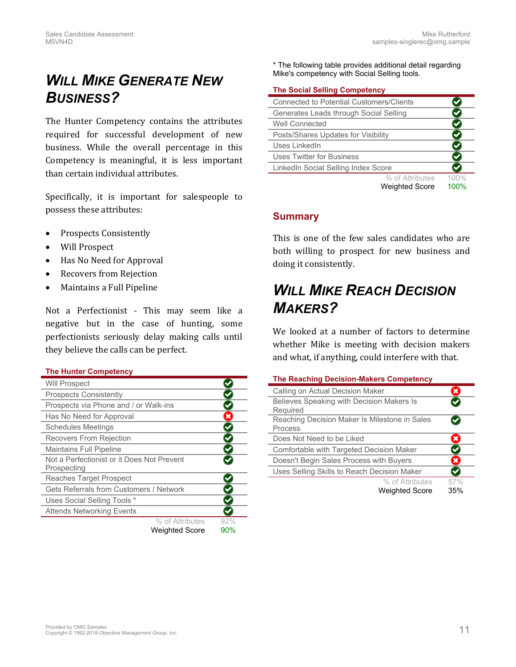### *WILL MIKE GENERATE NEW BUSINESS?*

The Hunter Competency contains the attributes required for successful development of new business. While the overall percentage in this Competency is meaningful, it is less important than certain individual attributes.

Specifically, it is important for salespeople to possess these attributes:

- Prospects Consistently
- Will Prospect
- Has No Need for Approval
- Recovers from Rejection
- Maintains a Full Pipeline

Not a Perfectionist - This may seem like a negative but in the case of hunting, some perfectionists seriously delay making calls until they believe the calls can be perfect.

#### <span id="page-10-0"></span>**The Hunter Competency**

| <b>Will Prospect</b>                           |                       |     |
|------------------------------------------------|-----------------------|-----|
| <b>Prospects Consistently</b>                  |                       |     |
| Prospects via Phone and / or Walk-ins          |                       |     |
| Has No Need for Approval                       |                       | x   |
| <b>Schedules Meetings</b>                      |                       |     |
| <b>Recovers From Rejection</b>                 |                       |     |
| <b>Maintains Full Pipeline</b>                 |                       |     |
| Not a Perfectionist or it Does Not Prevent     |                       |     |
| Prospecting                                    |                       |     |
| <b>Reaches Target Prospect</b>                 |                       |     |
| <b>Gets Referrals from Customers / Network</b> |                       |     |
| Uses Social Selling Tools *                    |                       |     |
| <b>Attends Networking Events</b>               |                       |     |
|                                                | % of Attributes       | 92% |
|                                                | <b>Weighted Score</b> | 90% |

\* The following table provides additional detail regarding Mike's competency with Social Selling tools.

#### <span id="page-10-1"></span>**The Social Selling Competency**

| <b>Connected to Potential Customers/Clients</b> |                       |      |
|-------------------------------------------------|-----------------------|------|
| Generates Leads through Social Selling          |                       |      |
| Well Connected                                  |                       |      |
| Posts/Shares Updates for Visibility             |                       |      |
| Uses LinkedIn                                   |                       |      |
| <b>Uses Twitter for Business</b>                |                       |      |
| LinkedIn Social Selling Index Score             |                       |      |
|                                                 | % of Attributes       | 100% |
|                                                 | <b>Weighted Score</b> | 100% |

#### **Summary**

This is one of the few sales candidates who are both willing to prospect for new business and doing it consistently.

### *WILL MIKE REACH DECISION MAKERS?*

We looked at a number of factors to determine whether Mike is meeting with decision makers and what, if anything, could interfere with that.

<span id="page-10-2"></span>

|  | The Reaching Decision-Makers Competency |  |
|--|-----------------------------------------|--|
|--|-----------------------------------------|--|

| Calling on Actual Decision Maker                         |            |
|----------------------------------------------------------|------------|
| Believes Speaking with Decision Makers Is                |            |
| Required                                                 |            |
| Reaching Decision Maker Is Milestone in Sales<br>Process |            |
| Does Not Need to be Liked                                |            |
| Comfortable with Targeted Decision Maker                 |            |
| Doesn't Begin Sales Process with Buyers                  | ×          |
| Uses Selling Skills to Reach Decision Maker              |            |
| % of Attributes<br><b>Weighted Score</b>                 | 57%<br>35% |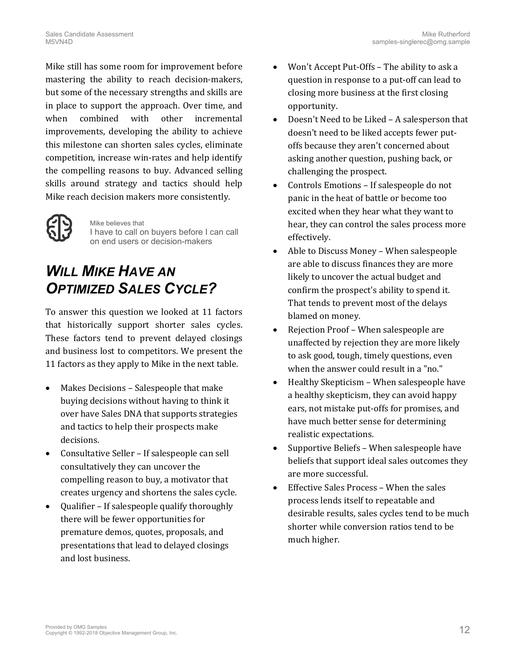Mike still has some room for improvement before mastering the ability to reach decision-makers, but some of the necessary strengths and skills are in place to support the approach. Over time, and when combined with other incremental improvements, developing the ability to achieve this milestone can shorten sales cycles, eliminate competition, increase win-rates and help identify the compelling reasons to buy. Advanced selling skills around strategy and tactics should help Mike reach decision makers more consistently.



Mike believes that I have to call on buyers before I can call on end users or decision-makers

### *WILL MIKE HAVE AN OPTIMIZED SALES CYCLE?*

To answer this question we looked at 11 factors that historically support shorter sales cycles. These factors tend to prevent delayed closings and business lost to competitors. We present the 11 factors as they apply to Mike in the next table.

- Makes Decisions Salespeople that make buying decisions without having to think it over have Sales DNA that supports strategies and tactics to help their prospects make decisions.
- Consultative Seller If salespeople can sell consultatively they can uncover the compelling reason to buy, a motivator that creates urgency and shortens the sales cycle.
- Qualifier If salespeople qualify thoroughly there will be fewer opportunities for premature demos, quotes, proposals, and presentations that lead to delayed closings and lost business.
- Won't Accept Put-Offs The ability to ask a question in response to a put-off can lead to closing more business at the first closing opportunity.
- Doesn't Need to be Liked A salesperson that doesn't need to be liked accepts fewer putoffs because they aren't concerned about asking another question, pushing back, or challenging the prospect.
- Controls Emotions If salespeople do not panic in the heat of battle or become too excited when they hear what they want to hear, they can control the sales process more effectively.
- Able to Discuss Money When salespeople are able to discuss finances they are more likely to uncover the actual budget and confirm the prospect's ability to spend it. That tends to prevent most of the delays blamed on money.
- Rejection Proof When salespeople are unaffected by rejection they are more likely to ask good, tough, timely questions, even when the answer could result in a "no."
- Healthy Skepticism When salespeople have a healthy skepticism, they can avoid happy ears, not mistake put-offs for promises, and have much better sense for determining realistic expectations.
- Supportive Beliefs When salespeople have beliefs that support ideal sales outcomes they are more successful.
- Effective Sales Process When the sales process lends itself to repeatable and desirable results, sales cycles tend to be much shorter while conversion ratios tend to be much higher.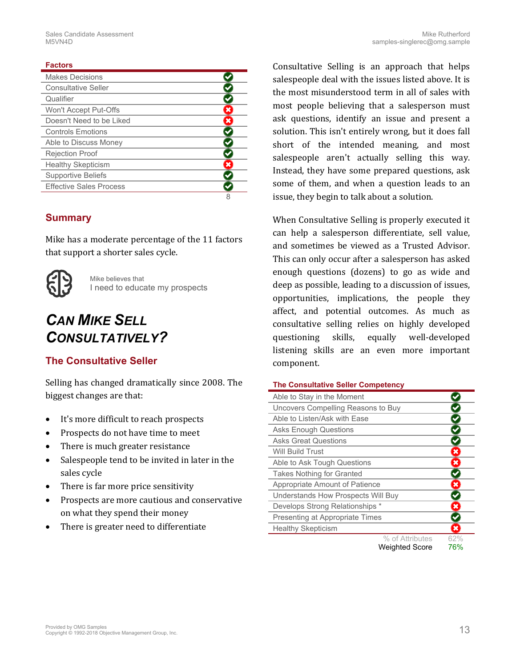#### **Factors**

| <b>Makes Decisions</b>         |  |
|--------------------------------|--|
| <b>Consultative Seller</b>     |  |
| Qualifier                      |  |
| Won't Accept Put-Offs          |  |
| Doesn't Need to be Liked       |  |
| <b>Controls Emotions</b>       |  |
| Able to Discuss Money          |  |
| <b>Rejection Proof</b>         |  |
| <b>Healthy Skepticism</b>      |  |
| <b>Supportive Beliefs</b>      |  |
| <b>Effective Sales Process</b> |  |
|                                |  |

#### **Summary**

Mike has a moderate percentage of the 11 factors that support a shorter sales cycle.



Mike believes that I need to educate my prospects

### *CAN MIKE SELL CONSULTATIVELY?*

#### **The Consultative Seller**

Selling has changed dramatically since 2008. The biggest changes are that:

- It's more difficult to reach prospects
- Prospects do not have time to meet
- There is much greater resistance
- Salespeople tend to be invited in later in the sales cycle
- There is far more price sensitivity
- Prospects are more cautious and conservative on what they spend their money
- There is greater need to differentiate

Consultative Selling is an approach that helps salespeople deal with the issues listed above. It is the most misunderstood term in all of sales with most people believing that a salesperson must ask questions, identify an issue and present a solution. This isn't entirely wrong, but it does fall short of the intended meaning, and most salespeople aren't actually selling this way. Instead, they have some prepared questions, ask some of them, and when a question leads to an issue, they begin to talk about a solution.

When Consultative Selling is properly executed it can help a salesperson differentiate, sell value, and sometimes be viewed as a Trusted Advisor. This can only occur after a salesperson has asked enough questions (dozens) to go as wide and deep as possible, leading to a discussion of issues, opportunities, implications, the people they affect, and potential outcomes. As much as consultative selling relies on highly developed questioning skills, equally well-developed listening skills are an even more important component.

#### <span id="page-12-0"></span>**The Consultative Seller Competency**

| Able to Stay in the Moment         |                       |                           |
|------------------------------------|-----------------------|---------------------------|
| Uncovers Compelling Reasons to Buy |                       |                           |
| Able to Listen/Ask with Ease       |                       |                           |
| <b>Asks Enough Questions</b>       |                       |                           |
| <b>Asks Great Questions</b>        |                       |                           |
| Will Build Trust                   |                       | $\pmb{\times}$            |
| Able to Ask Tough Questions        |                       | $\pmb{\times}$            |
| <b>Takes Nothing for Granted</b>   |                       |                           |
| Appropriate Amount of Patience     |                       | ×                         |
| Understands How Prospects Will Buy |                       |                           |
| Develops Strong Relationships *    |                       | $\pmb{\times}$            |
| Presenting at Appropriate Times    |                       |                           |
| <b>Healthy Skepticism</b>          |                       | $\boldsymbol{\mathsf{x}}$ |
|                                    | % of Attributes       | 62%                       |
|                                    | <b>Weighted Score</b> | 76%                       |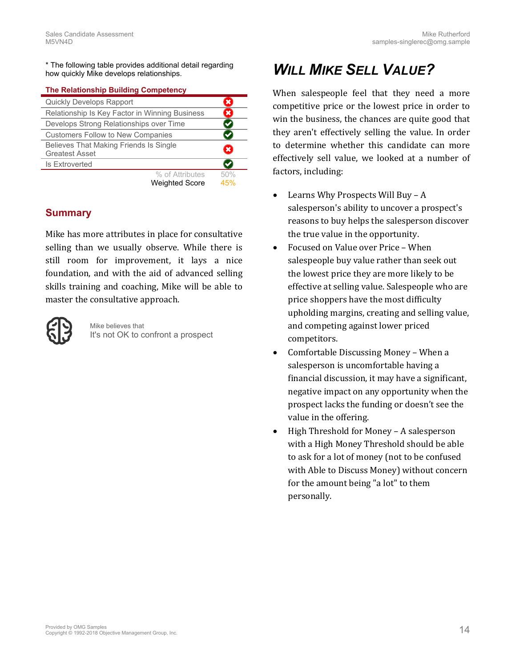\* The following table provides additional detail regarding how quickly Mike develops relationships.

#### <span id="page-13-0"></span>**The Relationship Building Competency**

| Quickly Develops Rapport                       |     |
|------------------------------------------------|-----|
| Relationship Is Key Factor in Winning Business | ×   |
| Develops Strong Relationships over Time        |     |
| <b>Customers Follow to New Companies</b>       |     |
| Believes That Making Friends Is Single         | ×   |
| <b>Greatest Asset</b>                          |     |
| <b>Is Extroverted</b>                          |     |
| % of Attributes                                | 50% |
| <b>Weighted Score</b>                          | 45% |

#### **Summary**

Mike has more attributes in place for consultative selling than we usually observe. While there is still room for improvement, it lays a nice foundation, and with the aid of advanced selling skills training and coaching, Mike will be able to master the consultative approach.



Mike believes that It's not OK to confront a prospect

### *WILL MIKE SELL VALUE?*

When salespeople feel that they need a more competitive price or the lowest price in order to win the business, the chances are quite good that they aren't effectively selling the value. In order to determine whether this candidate can more effectively sell value, we looked at a number of factors, including:

- Learns Why Prospects Will Buy A salesperson's ability to uncover a prospect's reasons to buy helps the salesperson discover the true value in the opportunity.
- Focused on Value over Price When salespeople buy value rather than seek out the lowest price they are more likely to be effective at selling value. Salespeople who are price shoppers have the most difficulty upholding margins, creating and selling value, and competing against lower priced competitors.
- Comfortable Discussing Money When a salesperson is uncomfortable having a financial discussion, it may have a significant, negative impact on any opportunity when the prospect lacks the funding or doesn't see the value in the offering.
- High Threshold for Money A salesperson with a High Money Threshold should be able to ask for a lot of money (not to be confused with Able to Discuss Money) without concern for the amount being "a lot" to them personally.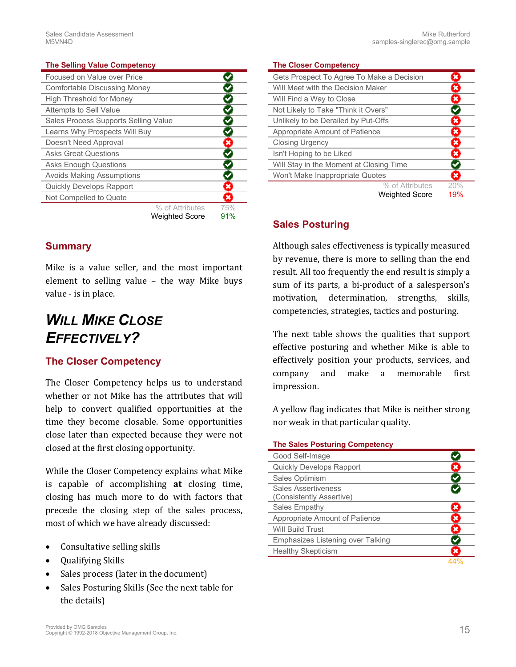#### <span id="page-14-1"></span>**The Selling Value Competency**

| Focused on Value over Price          |     |
|--------------------------------------|-----|
| <b>Comfortable Discussing Money</b>  |     |
| <b>High Threshold for Money</b>      |     |
| Attempts to Sell Value               |     |
| Sales Process Supports Selling Value |     |
| Learns Why Prospects Will Buy        |     |
| Doesn't Need Approval                | ×   |
| <b>Asks Great Questions</b>          |     |
| <b>Asks Enough Questions</b>         |     |
| <b>Avoids Making Assumptions</b>     |     |
| <b>Quickly Develops Rapport</b>      | ×   |
| Not Compelled to Quote               | ×   |
| % of Attributes                      | 75% |
| <b>Weighted Score</b>                | 91% |

#### **Summary**

Mike is a value seller, and the most important element to selling value – the way Mike buys value - is in place.

### *WILL MIKE CLOSE EFFECTIVELY?*

#### **The Closer Competency**

The Closer Competency helps us to understand whether or not Mike has the attributes that will help to convert qualified opportunities at the time they become closable. Some opportunities close later than expected because they were not closed at the first closing opportunity.

While the Closer Competency explains what Mike is capable of accomplishing **at** closing time, closing has much more to do with factors that precede the closing step of the sales process, most of which we have already discussed:

- Consultative selling skills
- Qualifying Skills
- Sales process (later in the document)
- Sales Posturing Skills (See the next table for the details)

#### <span id="page-14-0"></span>**The Closer Competency**

| Gets Prospect To Agree To Make a Decision |                       |     |
|-------------------------------------------|-----------------------|-----|
| Will Meet with the Decision Maker         |                       | ×   |
| Will Find a Way to Close                  |                       | ×   |
| Not Likely to Take "Think it Overs"       |                       |     |
| Unlikely to be Derailed by Put-Offs       |                       | ×   |
| Appropriate Amount of Patience            |                       | ×   |
| <b>Closing Urgency</b>                    |                       | ×   |
| Isn't Hoping to be Liked                  |                       | ×   |
| Will Stay in the Moment at Closing Time   |                       |     |
| Won't Make Inappropriate Quotes           |                       | ×   |
|                                           | % of Attributes       | 20% |
|                                           | <b>Weighted Score</b> | 19% |

#### **Sales Posturing**

Although sales effectiveness is typically measured by revenue, there is more to selling than the end result. All too frequently the end result is simply a sum of its parts, a bi-product of a salesperson's motivation, determination, strengths, skills, competencies, strategies, tactics and posturing.

The next table shows the qualities that support effective posturing and whether Mike is able to effectively position your products, services, and company and make a memorable first impression.

A yellow flag indicates that Mike is neither strong nor weak in that particular quality.

#### <span id="page-14-2"></span>**The Sales Posturing Competency**

| Good Self-Image                                        |   |
|--------------------------------------------------------|---|
| <b>Quickly Develops Rapport</b>                        |   |
| Sales Optimism                                         |   |
| <b>Sales Assertiveness</b><br>(Consistently Assertive) |   |
| Sales Empathy                                          |   |
| Appropriate Amount of Patience                         | × |
| <b>Will Build Trust</b>                                |   |
| Emphasizes Listening over Talking                      |   |
| <b>Healthy Skepticism</b>                              |   |
|                                                        |   |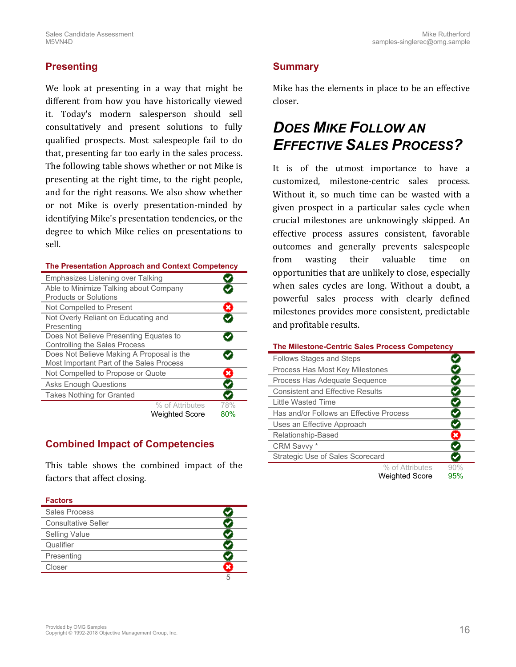#### **Presenting**

We look at presenting in a way that might be different from how you have historically viewed it. Today's modern salesperson should sell consultatively and present solutions to fully qualified prospects. Most salespeople fail to do that, presenting far too early in the sales process. The following table shows whether or not Mike is presenting at the right time, to the right people, and for the right reasons. We also show whether or not Mike is overly presentation-minded by identifying Mike's presentation tendencies, or the degree to which Mike relies on presentations to sell.

#### <span id="page-15-0"></span>**The Presentation Approach and Context Competency**

| Emphasizes Listening over Talking         |                |
|-------------------------------------------|----------------|
| Able to Minimize Talking about Company    |                |
| <b>Products or Solutions</b>              |                |
| Not Compelled to Present                  | $\mathbf x$    |
| Not Overly Reliant on Educating and       |                |
| Presenting                                |                |
| Does Not Believe Presenting Equates to    |                |
| <b>Controlling the Sales Process</b>      |                |
| Does Not Believe Making A Proposal is the |                |
| Most Important Part of the Sales Process  |                |
| Not Compelled to Propose or Quote         | $\pmb{\times}$ |
| <b>Asks Enough Questions</b>              |                |
| <b>Takes Nothing for Granted</b>          |                |
| % of Attributes                           | 78%            |
| <b>Weighted Score</b>                     | 80%            |

### **Combined Impact of Competencies**

This table shows the combined impact of the factors that affect closing.

#### **Factors**

| Sales Process              |  |
|----------------------------|--|
| <b>Consultative Seller</b> |  |
| <b>Selling Value</b>       |  |
| Qualifier                  |  |
| Presenting                 |  |
| Closer                     |  |
|                            |  |

#### **Summary**

Mike has the elements in place to be an effective closer.

### *DOES MIKE FOLLOW AN EFFECTIVE SALES PROCESS?*

It is of the utmost importance to have a customized, milestone-centric sales process. Without it, so much time can be wasted with a given prospect in a particular sales cycle when crucial milestones are unknowingly skipped. An effective process assures consistent, favorable outcomes and generally prevents salespeople from wasting their valuable time on opportunities that are unlikely to close, especially when sales cycles are long. Without a doubt, a powerful sales process with clearly defined milestones provides more consistent, predictable and profitable results.

#### <span id="page-15-1"></span>**The Milestone-Centric Sales Process Competency**

| <b>Follows Stages and Steps</b>         |                       |     |
|-----------------------------------------|-----------------------|-----|
| Process Has Most Key Milestones         |                       |     |
| Process Has Adequate Sequence           |                       |     |
| <b>Consistent and Effective Results</b> |                       |     |
| Little Wasted Time                      |                       |     |
| Has and/or Follows an Effective Process |                       |     |
| Uses an Effective Approach              |                       |     |
| Relationship-Based                      |                       |     |
| CRM Savvy *                             |                       |     |
| <b>Strategic Use of Sales Scorecard</b> |                       |     |
|                                         | % of Attributes       | 90% |
|                                         | <b>Weighted Score</b> | 95% |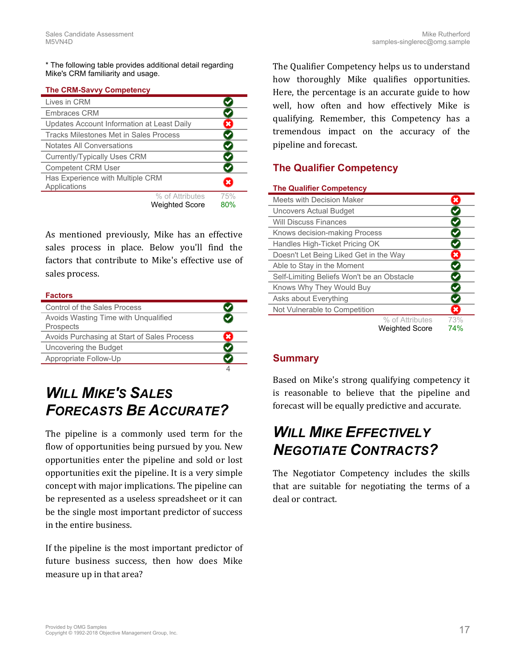\* The following table provides additional detail regarding Mike's CRM familiarity and usage.

#### <span id="page-16-0"></span>**The CRM-Savvy Competency**

| Lives in CRM                                     |                              |
|--------------------------------------------------|------------------------------|
| <b>Embraces CRM</b>                              |                              |
| Updates Account Information at Least Daily       | ×                            |
| Tracks Milestones Met in Sales Process           |                              |
| Notates All Conversations                        |                              |
| <b>Currently/Typically Uses CRM</b>              |                              |
| <b>Competent CRM User</b>                        |                              |
| Has Experience with Multiple CRM<br>Applications |                              |
|                                                  | % of Attributes<br>75%       |
|                                                  | 80%<br><b>Weighted Score</b> |

As mentioned previously, Mike has an effective sales process in place. Below you'll find the factors that contribute to Mike's effective use of sales process.

#### **Factors**

| Control of the Sales Process                |  |
|---------------------------------------------|--|
| Avoids Wasting Time with Ungualified        |  |
| Prospects                                   |  |
| Avoids Purchasing at Start of Sales Process |  |
| Uncovering the Budget                       |  |
| Appropriate Follow-Up                       |  |
|                                             |  |

### *WILL MIKE'S SALES FORECASTS BE ACCURATE?*

The pipeline is a commonly used term for the flow of opportunities being pursued by you. New opportunities enter the pipeline and sold or lost opportunities exit the pipeline. It is a very simple concept with major implications. The pipeline can be represented as a useless spreadsheet or it can be the single most important predictor of success in the entire business.

If the pipeline is the most important predictor of future business success, then how does Mike measure up in that area?

The Qualifier Competency helps us to understand how thoroughly Mike qualifies opportunities. Here, the percentage is an accurate guide to how well, how often and how effectively Mike is qualifying. Remember, this Competency has a tremendous impact on the accuracy of the pipeline and forecast.

#### **The Qualifier Competency**

#### <span id="page-16-1"></span>**The Qualifier Competency**

| Meets with Decision Maker                  |     |
|--------------------------------------------|-----|
| <b>Uncovers Actual Budget</b>              |     |
| <b>Will Discuss Finances</b>               |     |
| Knows decision-making Process              |     |
| Handles High-Ticket Pricing OK             |     |
| Doesn't Let Being Liked Get in the Way     | ×   |
| Able to Stay in the Moment                 |     |
| Self-Limiting Beliefs Won't be an Obstacle |     |
| Knows Why They Would Buy                   |     |
| Asks about Everything                      |     |
| Not Vulnerable to Competition              | ×   |
| % of Attributes                            | 73% |
| <b>Weighted Score</b>                      | 74% |

#### **Summary**

Based on Mike's strong qualifying competency it is reasonable to believe that the pipeline and forecast will be equally predictive and accurate.

### *WILL MIKE EFFECTIVELY NEGOTIATE CONTRACTS?*

The Negotiator Competency includes the skills that are suitable for negotiating the terms of a deal or contract.